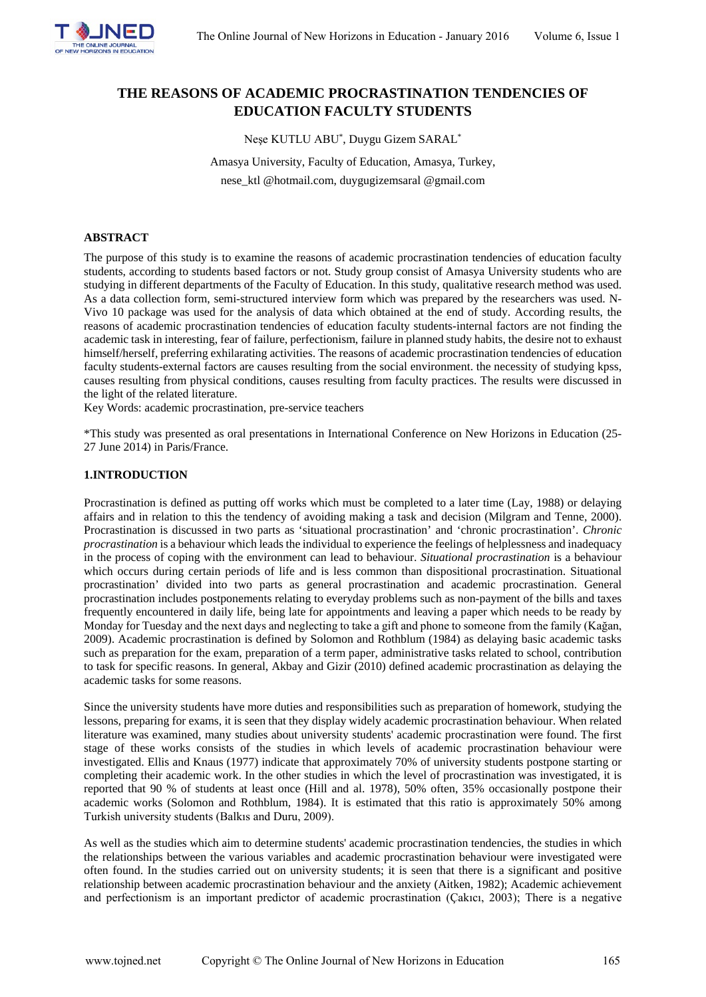

# **THE REASONS OF ACADEMIC PROCRASTINATION TENDENCIES OF EDUCATION FACULTY STUDENTS**

Neşe KUTLU ABU\* , Duygu Gizem SARAL\*

Amasya University, Faculty of Education, Amasya, Turkey, nese\_ktl @hotmail.com, duygugizemsaral @gmail.com

# **ABSTRACT**

The purpose of this study is to examine the reasons of academic procrastination tendencies of education faculty students, according to students based factors or not. Study group consist of Amasya University students who are studying in different departments of the Faculty of Education. In this study, qualitative research method was used. As a data collection form, semi-structured interview form which was prepared by the researchers was used. N-Vivo 10 package was used for the analysis of data which obtained at the end of study. According results, the reasons of academic procrastination tendencies of education faculty students-internal factors are not finding the academic task in interesting, fear of failure, perfectionism, failure in planned study habits, the desire not to exhaust himself/herself, preferring exhilarating activities. The reasons of academic procrastination tendencies of education faculty students-external factors are causes resulting from the social environment. the necessity of studying kpss, causes resulting from physical conditions, causes resulting from faculty practices. The results were discussed in the light of the related literature.

Key Words: academic procrastination, pre-service teachers

\*This study was presented as oral presentations in [International Conference on New Horizons in Education](http://www.int-e.net/) (25- 27 June 2014) in Paris/France.

## **1.INTRODUCTION**

Procrastination is defined as putting off works which must be completed to a later time (Lay, 1988) or delaying affairs and in relation to this the tendency of avoiding making a task and decision (Milgram and Tenne, 2000). Procrastination is discussed in two parts as 'situational procrastination' and 'chronic procrastination'. *Chronic procrastination* is a behaviour which leads the individual to experience the feelings of helplessness and inadequacy in the process of coping with the environment can lead to behaviour. *Situational procrastination* is a behaviour which occurs during certain periods of life and is less common than dispositional procrastination. Situational procrastination' divided into two parts as general procrastination and academic procrastination. General procrastination includes postponements relating to everyday problems such as non-payment of the bills and taxes frequently encountered in daily life, being late for appointments and leaving a paper which needs to be ready by Monday for Tuesday and the next days and neglecting to take a gift and phone to someone from the family (Kağan, 2009). Academic procrastination is defined by Solomon and Rothblum (1984) as delaying basic academic tasks such as preparation for the exam, preparation of a term paper, administrative tasks related to school, contribution to task for specific reasons. In general, Akbay and Gizir (2010) defined academic procrastination as delaying the academic tasks for some reasons.

Since the university students have more duties and responsibilities such as preparation of homework, studying the lessons, preparing for exams, it is seen that they display widely academic procrastination behaviour. When related literature was examined, many studies about university students' academic procrastination were found. The first stage of these works consists of the studies in which levels of academic procrastination behaviour were investigated. Ellis and Knaus (1977) indicate that approximately 70% of university students postpone starting or completing their academic work. In the other studies in which the level of procrastination was investigated, it is reported that 90 % of students at least once (Hill and al. 1978), 50% often, 35% occasionally postpone their academic works (Solomon and Rothblum, 1984). It is estimated that this ratio is approximately 50% among Turkish university students (Balkıs and Duru, 2009).

As well as the studies which aim to determine students' academic procrastination tendencies, the studies in which the relationships between the various variables and academic procrastination behaviour were investigated were often found. In the studies carried out on university students; it is seen that there is a significant and positive relationship between academic procrastination behaviour and the anxiety (Aitken, 1982); Academic achievement and perfectionism is an important predictor of academic procrastination (Çakıcı, 2003); There is a negative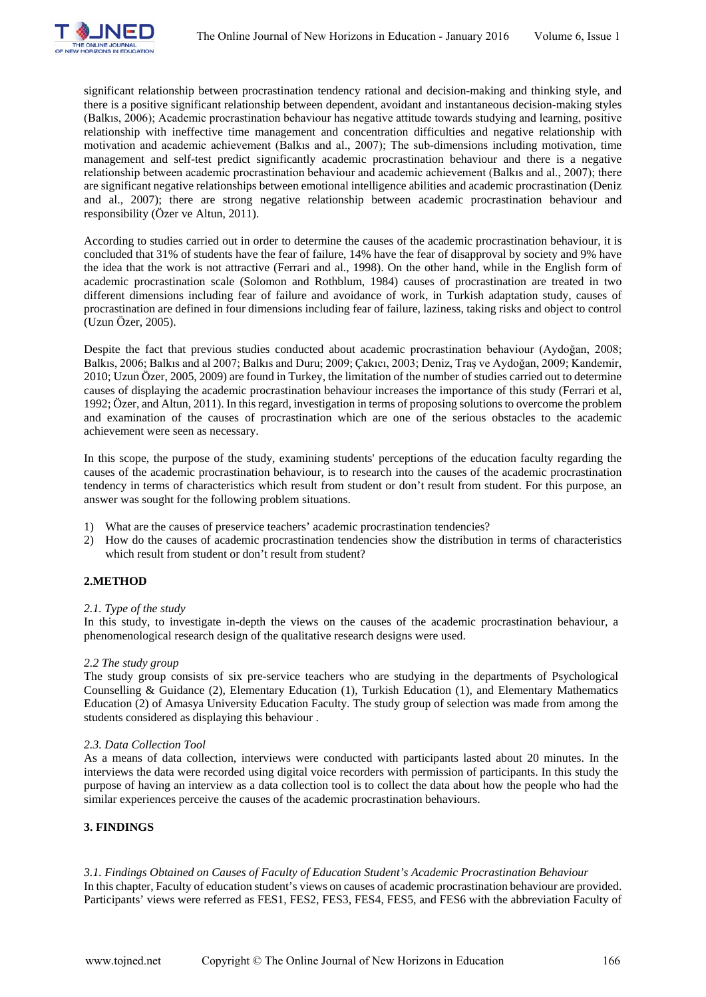

significant relationship between procrastination tendency rational and decision-making and thinking style, and there is a positive significant relationship between dependent, avoidant and instantaneous decision-making styles (Balkıs, 2006); Academic procrastination behaviour has negative attitude towards studying and learning, positive relationship with ineffective time management and concentration difficulties and negative relationship with motivation and academic achievement (Balkıs and al., 2007); The sub-dimensions including motivation, time management and self-test predict significantly academic procrastination behaviour and there is a negative relationship between academic procrastination behaviour and academic achievement (Balkıs and al., 2007); there are significant negative relationships between emotional intelligence abilities and academic procrastination (Deniz and al., 2007); there are strong negative relationship between academic procrastination behaviour and responsibility (Özer ve Altun, 2011).

According to studies carried out in order to determine the causes of the academic procrastination behaviour, it is concluded that 31% of students have the fear of failure, 14% have the fear of disapproval by society and 9% have the idea that the work is not attractive (Ferrari and al., 1998). On the other hand, while in the English form of academic procrastination scale (Solomon and Rothblum, 1984) causes of procrastination are treated in two different dimensions including fear of failure and avoidance of work, in Turkish adaptation study, causes of procrastination are defined in four dimensions including fear of failure, laziness, taking risks and object to control (Uzun Özer, 2005).

Despite the fact that previous studies conducted about academic procrastination behaviour (Aydoğan, 2008; Balkıs, 2006; Balkıs and al 2007; Balkıs and Duru; 2009; Çakıcı, 2003; Deniz, Traş ve Aydoğan, 2009; Kandemir, 2010; Uzun Özer, 2005, 2009) are found in Turkey, the limitation of the number of studies carried out to determine causes of displaying the academic procrastination behaviour increases the importance of this study (Ferrari et al, 1992; Özer, and Altun, 2011). In this regard, investigation in terms of proposing solutions to overcome the problem and examination of the causes of procrastination which are one of the serious obstacles to the academic achievement were seen as necessary.

In this scope, the purpose of the study, examining students' perceptions of the education faculty regarding the causes of the academic procrastination behaviour, is to research into the causes of the academic procrastination tendency in terms of characteristics which result from student or don't result from student. For this purpose, an answer was sought for the following problem situations.

- 1) What are the causes of preservice teachers' academic procrastination tendencies?
- 2) How do the causes of academic procrastination tendencies show the distribution in terms of characteristics which result from student or don't result from student?

# **2.METHOD**

# *2.1. Type of the study*

In this study, to investigate in-depth the views on the causes of the academic procrastination behaviour, a phenomenological research design of the qualitative research designs were used.

#### *2.2 The study group*

The study group consists of six pre-service teachers who are studying in the departments of Psychological Counselling & Guidance (2), Elementary Education (1), Turkish Education (1), and Elementary Mathematics Education (2) of Amasya University Education Faculty. The study group of selection was made from among the students considered as displaying this behaviour .

# *2.3. Data Collection Tool*

As a means of data collection, interviews were conducted with participants lasted about 20 minutes. In the interviews the data were recorded using digital voice recorders with permission of participants. In this study the purpose of having an interview as a data collection tool is to collect the data about how the people who had the similar experiences perceive the causes of the academic procrastination behaviours.

# **3. FINDINGS**

# *3.1. Findings Obtained on Causes of Faculty of Education Student's Academic Procrastination Behaviour*

In this chapter, Faculty of education student's views on causes of academic procrastination behaviour are provided. Participants' views were referred as FES1, FES2, FES3, FES4, FES5, and FES6 with the abbreviation Faculty of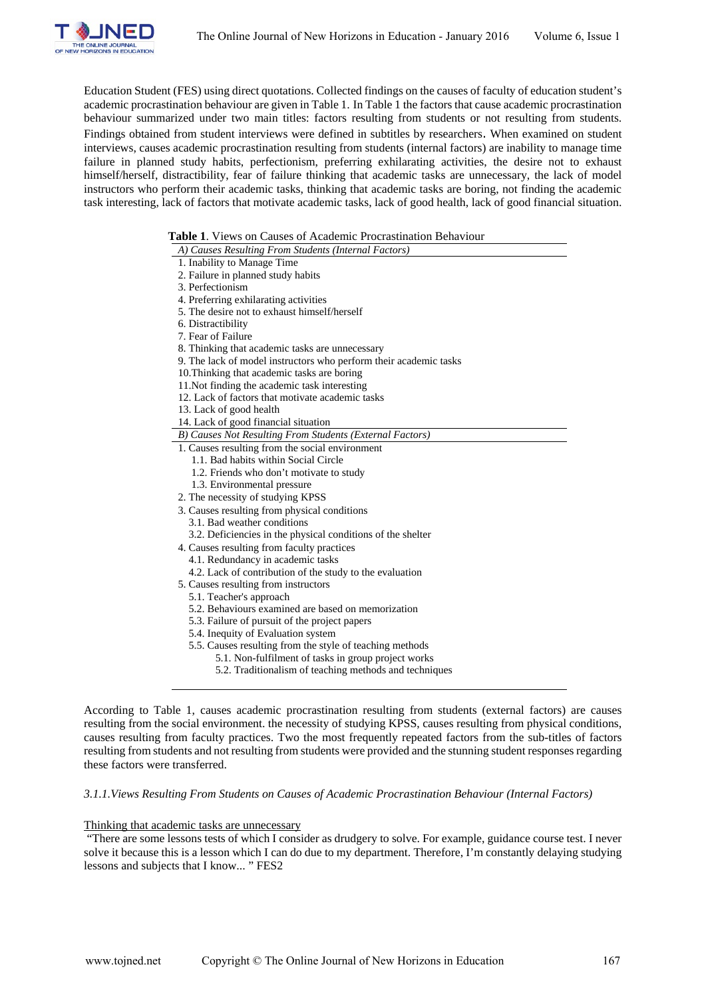

Education Student (FES) using direct quotations. Collected findings on the causes of faculty of education student's academic procrastination behaviour are given in Table 1. In Table 1 the factors that cause academic procrastination behaviour summarized under two main titles: factors resulting from students or not resulting from students. Findings obtained from student interviews were defined in subtitles by researchers. When examined on student interviews, causes academic procrastination resulting from students (internal factors) are inability to manage time failure in planned study habits, perfectionism, preferring exhilarating activities, the desire not to exhaust himself/herself, distractibility, fear of failure thinking that academic tasks are unnecessary, the lack of model instructors who perform their academic tasks, thinking that academic tasks are boring, not finding the academic task interesting, lack of factors that motivate academic tasks, lack of good health, lack of good financial situation.

#### **Table 1**. Views on Causes of Academic Procrastination Behaviour

| A) Causes Resulting From Students (Internal Factors)              |
|-------------------------------------------------------------------|
| 1. Inability to Manage Time                                       |
| 2. Failure in planned study habits                                |
| 3. Perfectionism                                                  |
| 4. Preferring exhilarating activities                             |
| 5. The desire not to exhaust himself/herself                      |
| 6. Distractibility                                                |
| 7. Fear of Failure                                                |
| 8. Thinking that academic tasks are unnecessary                   |
| 9. The lack of model instructors who perform their academic tasks |
| 10. Thinking that academic tasks are boring                       |
| 11. Not finding the academic task interesting                     |
| 12. Lack of factors that motivate academic tasks                  |
| 13. Lack of good health                                           |
| 14. Lack of good financial situation                              |
| B) Causes Not Resulting From Students (External Factors)          |
| 1. Causes resulting from the social environment                   |
| 1.1. Bad habits within Social Circle                              |
| 1.2. Friends who don't motivate to study                          |
| 1.3. Environmental pressure                                       |
| 2. The necessity of studying KPSS                                 |
| 3. Causes resulting from physical conditions                      |
| 3.1. Bad weather conditions                                       |
| 3.2. Deficiencies in the physical conditions of the shelter       |
| 4. Causes resulting from faculty practices                        |
| 4.1. Redundancy in academic tasks                                 |
| 4.2. Lack of contribution of the study to the evaluation          |
| 5. Causes resulting from instructors                              |
| 5.1. Teacher's approach                                           |
| 5.2. Behaviours examined are based on memorization                |
| 5.3. Failure of pursuit of the project papers                     |
| 5.4. Inequity of Evaluation system                                |
| 5.5. Causes resulting from the style of teaching methods          |
| 5.1. Non-fulfilment of tasks in group project works               |
| 5.2. Traditionalism of teaching methods and techniques            |
|                                                                   |

resulting from the social environment. the necessity of studying KPSS, causes resulting from physical conditions, causes resulting from faculty practices. Two the most frequently repeated factors from the sub-titles of factors resulting from students and not resulting from students were provided and the stunning student responses regarding these factors were transferred.

### *3.1.1.Views Resulting From Students on Causes of Academic Procrastination Behaviour (Internal Factors)*

#### Thinking that academic tasks are unnecessary

"There are some lessons tests of which I consider as drudgery to solve. For example, guidance course test. I never solve it because this is a lesson which I can do due to my department. Therefore, I'm constantly delaying studying lessons and subjects that I know... " FES2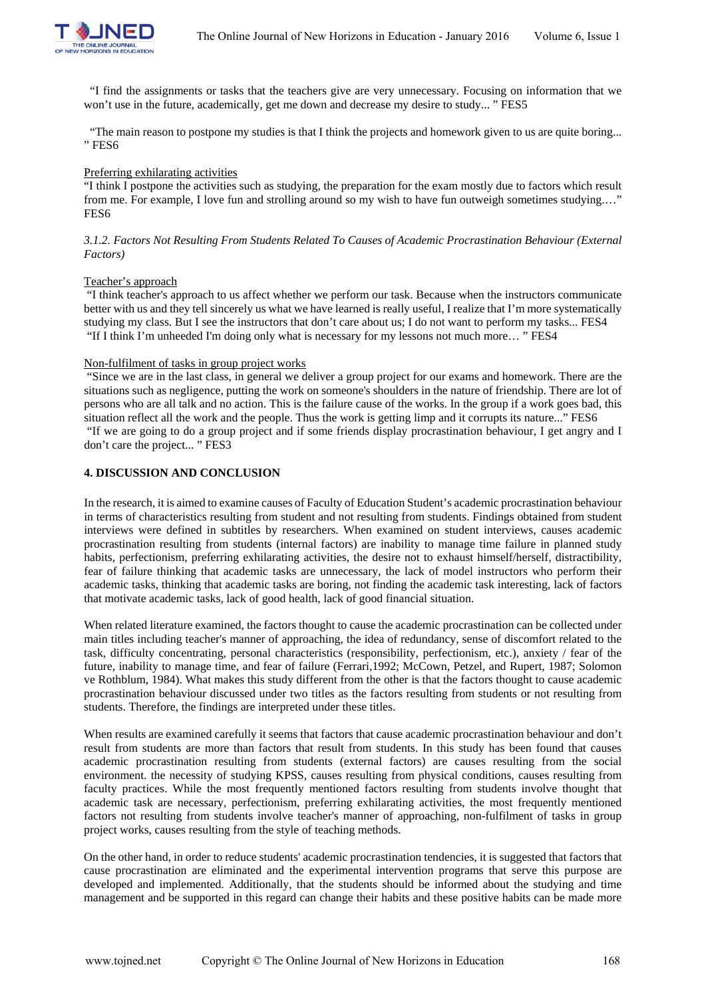

 "I find the assignments or tasks that the teachers give are very unnecessary. Focusing on information that we won't use in the future, academically, get me down and decrease my desire to study... " FES5

 "The main reason to postpone my studies is that I think the projects and homework given to us are quite boring... " FES6

### Preferring exhilarating activities

"I think I postpone the activities such as studying, the preparation for the exam mostly due to factors which result from me. For example, I love fun and strolling around so my wish to have fun outweigh sometimes studying.…" FES6

## *3.1.2. Factors Not Resulting From Students Related To Causes of Academic Procrastination Behaviour (External Factors)*

#### Teacher's approach

"I think teacher's approach to us affect whether we perform our task. Because when the instructors communicate better with us and they tell sincerely us what we have learned is really useful, I realize that I'm more systematically studying my class. But I see the instructors that don't care about us; I do not want to perform my tasks... FES4 "If I think I'm unheeded I'm doing only what is necessary for my lessons not much more… " FES4

#### Non-fulfilment of tasks in group project works

"Since we are in the last class, in general we deliver a group project for our exams and homework. There are the situations such as negligence, putting the work on someone's shoulders in the nature of friendship. There are lot of persons who are all talk and no action. This is the failure cause of the works. In the group if a work goes bad, this situation reflect all the work and the people. Thus the work is getting limp and it corrupts its nature..." FES6 "If we are going to do a group project and if some friends display procrastination behaviour, I get angry and I don't care the project... " FES3

## **4. DISCUSSION AND CONCLUSION**

In the research, it is aimed to examine causes of Faculty of Education Student's academic procrastination behaviour in terms of characteristics resulting from student and not resulting from students. Findings obtained from student interviews were defined in subtitles by researchers. When examined on student interviews, causes academic procrastination resulting from students (internal factors) are inability to manage time failure in planned study habits, perfectionism, preferring exhilarating activities, the desire not to exhaust himself/herself, distractibility, fear of failure thinking that academic tasks are unnecessary, the lack of model instructors who perform their academic tasks, thinking that academic tasks are boring, not finding the academic task interesting, lack of factors that motivate academic tasks, lack of good health, lack of good financial situation.

When related literature examined, the factors thought to cause the academic procrastination can be collected under main titles including teacher's manner of approaching, the idea of redundancy, sense of discomfort related to the task, difficulty concentrating, personal characteristics (responsibility, perfectionism, etc.), anxiety / fear of the future, inability to manage time, and fear of failure (Ferrari,1992; McCown, Petzel, and Rupert, 1987; Solomon ve Rothblum, 1984). What makes this study different from the other is that the factors thought to cause academic procrastination behaviour discussed under two titles as the factors resulting from students or not resulting from students. Therefore, the findings are interpreted under these titles.

When results are examined carefully it seems that factors that cause academic procrastination behaviour and don't result from students are more than factors that result from students. In this study has been found that causes academic procrastination resulting from students (external factors) are causes resulting from the social environment. the necessity of studying KPSS, causes resulting from physical conditions, causes resulting from faculty practices. While the most frequently mentioned factors resulting from students involve thought that academic task are necessary, perfectionism, preferring exhilarating activities, the most frequently mentioned factors not resulting from students involve teacher's manner of approaching, non-fulfilment of tasks in group project works, causes resulting from the style of teaching methods.

On the other hand, in order to reduce students' academic procrastination tendencies, it is suggested that factors that cause procrastination are eliminated and the experimental intervention programs that serve this purpose are developed and implemented. Additionally, that the students should be informed about the studying and time management and be supported in this regard can change their habits and these positive habits can be made more